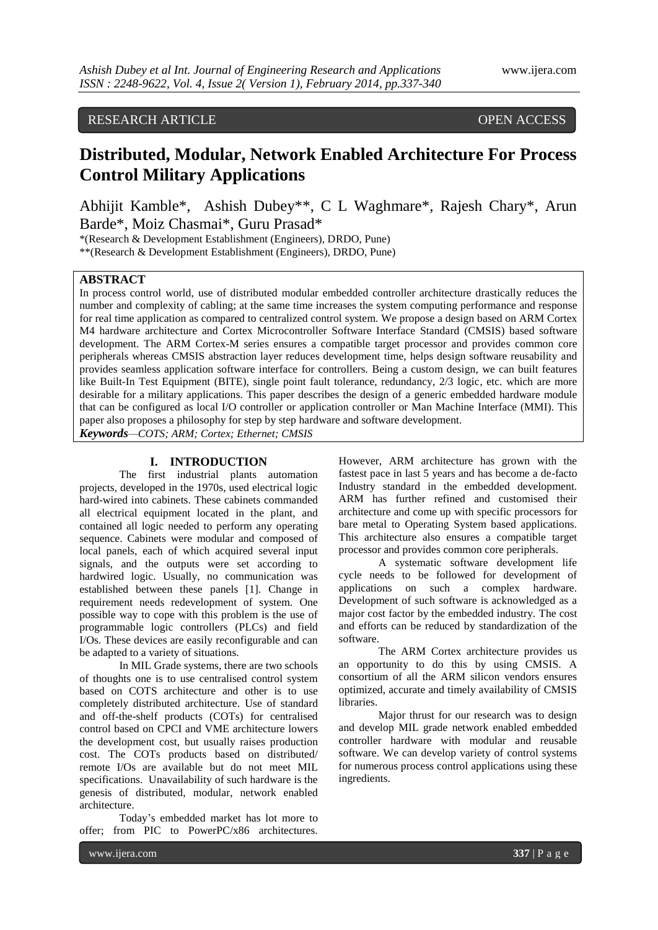# RESEARCH ARTICLE OPEN ACCESS

# **Distributed, Modular, Network Enabled Architecture For Process Control Military Applications**

Abhijit Kamble\*, Ashish Dubey\*\*, C L Waghmare\*, Rajesh Chary\*, Arun Barde\*, Moiz Chasmai\*, Guru Prasad\*

\*(Research & Development Establishment (Engineers), DRDO, Pune)

\*\*(Research & Development Establishment (Engineers), DRDO, Pune)

## **ABSTRACT**

In process control world, use of distributed modular embedded controller architecture drastically reduces the number and complexity of cabling; at the same time increases the system computing performance and response for real time application as compared to centralized control system. We propose a design based on ARM Cortex M4 hardware architecture and Cortex Microcontroller Software Interface Standard (CMSIS) based software development. The ARM Cortex-M series ensures a compatible target processor and provides common core peripherals whereas CMSIS abstraction layer reduces development time, helps design software reusability and provides seamless application software interface for controllers. Being a custom design, we can built features like Built-In Test Equipment (BITE), single point fault tolerance, redundancy, 2/3 logic, etc. which are more desirable for a military applications. This paper describes the design of a generic embedded hardware module that can be configured as local I/O controller or application controller or Man Machine Interface (MMI). This paper also proposes a philosophy for step by step hardware and software development.

*Keywords—COTS; ARM; Cortex; Ethernet; CMSIS*

## **I. INTRODUCTION**

The first industrial plants automation projects, developed in the 1970s, used electrical logic hard-wired into cabinets. These cabinets commanded all electrical equipment located in the plant, and contained all logic needed to perform any operating sequence. Cabinets were modular and composed of local panels, each of which acquired several input signals, and the outputs were set according to hardwired logic. Usually, no communication was established between these panels [1]. Change in requirement needs redevelopment of system. One possible way to cope with this problem is the use of programmable logic controllers (PLCs) and field I/Os. These devices are easily reconfigurable and can be adapted to a variety of situations.

In MIL Grade systems, there are two schools of thoughts one is to use centralised control system based on COTS architecture and other is to use completely distributed architecture. Use of standard and off-the-shelf products (COTs) for centralised control based on CPCI and VME architecture lowers the development cost, but usually raises production cost. The COTs products based on distributed/ remote I/Os are available but do not meet MIL specifications. Unavailability of such hardware is the genesis of distributed, modular, network enabled architecture.

Today's embedded market has lot more to offer; from PIC to PowerPC/x86 architectures.

However, ARM architecture has grown with the fastest pace in last 5 years and has become a de-facto Industry standard in the embedded development. ARM has further refined and customised their architecture and come up with specific processors for bare metal to Operating System based applications. This architecture also ensures a compatible target processor and provides common core peripherals.

A systematic software development life cycle needs to be followed for development of applications on such a complex hardware. Development of such software is acknowledged as a major cost factor by the embedded industry. The cost and efforts can be reduced by standardization of the software.

The ARM Cortex architecture provides us an opportunity to do this by using CMSIS. A consortium of all the ARM silicon vendors ensures optimized, accurate and timely availability of CMSIS libraries.

Major thrust for our research was to design and develop MIL grade network enabled embedded controller hardware with modular and reusable software. We can develop variety of control systems for numerous process control applications using these ingredients.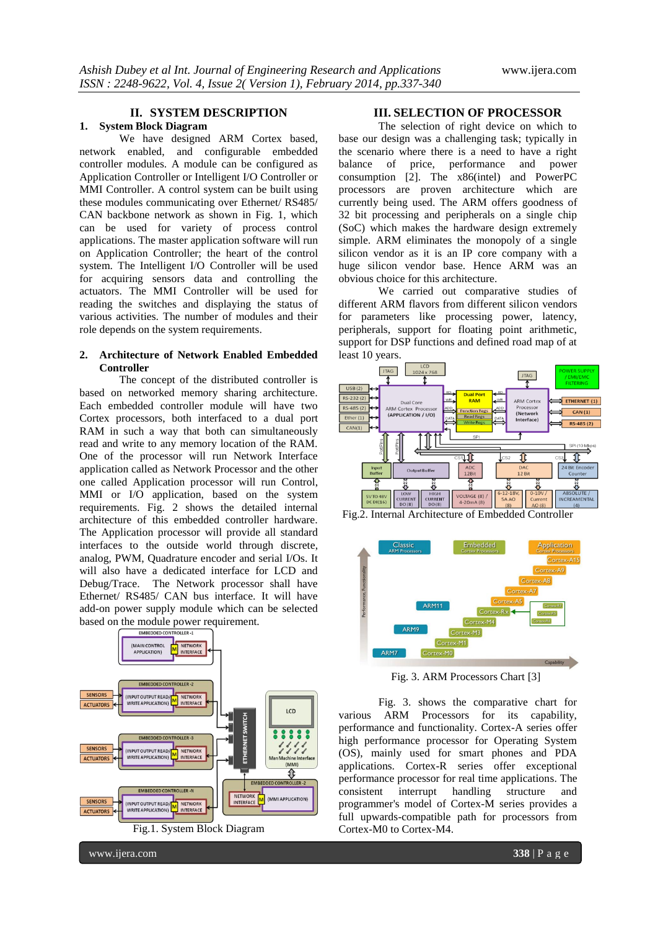# **II. SYSTEM DESCRIPTION**

# **1. System Block Diagram**

We have designed ARM Cortex based, network enabled, and configurable embedded controller modules. A module can be configured as Application Controller or Intelligent I/O Controller or MMI Controller. A control system can be built using these modules communicating over Ethernet/ RS485/ CAN backbone network as shown in Fig. 1, which can be used for variety of process control applications. The master application software will run on Application Controller; the heart of the control system. The Intelligent I/O Controller will be used for acquiring sensors data and controlling the actuators. The MMI Controller will be used for reading the switches and displaying the status of various activities. The number of modules and their role depends on the system requirements.

## **2. Architecture of Network Enabled Embedded Controller**

The concept of the distributed controller is based on networked memory sharing architecture. Each embedded controller module will have two Cortex processors, both interfaced to a dual port RAM in such a way that both can simultaneously read and write to any memory location of the RAM. One of the processor will run Network Interface application called as Network Processor and the other one called Application processor will run Control, MMI or I/O application, based on the system requirements. Fig. 2 shows the detailed internal architecture of this embedded controller hardware. The Application processor will provide all standard interfaces to the outside world through discrete, analog, PWM, Quadrature encoder and serial I/Os. It will also have a dedicated interface for LCD and Debug/Trace. The Network processor shall have Ethernet/ RS485/ CAN bus interface. It will have add-on power supply module which can be selected



#### **III. SELECTION OF PROCESSOR**

The selection of right device on which to base our design was a challenging task; typically in the scenario where there is a need to have a right balance of price, performance and power consumption [2]. The x86(intel) and PowerPC processors are proven architecture which are currently being used. The ARM offers goodness of 32 bit processing and peripherals on a single chip (SoC) which makes the hardware design extremely simple. ARM eliminates the monopoly of a single silicon vendor as it is an IP core company with a huge silicon vendor base. Hence ARM was an obvious choice for this architecture.

We carried out comparative studies of different ARM flavors from different silicon vendors for parameters like processing power, latency, peripherals, support for floating point arithmetic, support for DSP functions and defined road map of at least 10 years.



Fig.2. Internal Architecture of Embedded Controller



Fig. 3. ARM Processors Chart [3]

Fig. 3. shows the comparative chart for various ARM Processors for its capability, performance and functionality. Cortex-A series offer high performance processor for Operating System (OS), mainly used for smart phones and PDA applications. Cortex-R series offer exceptional performance processor for real time applications. The consistent interrupt handling structure and programmer's model of Cortex-M series provides a full upwards-compatible path for processors from Cortex-M0 to Cortex-M4.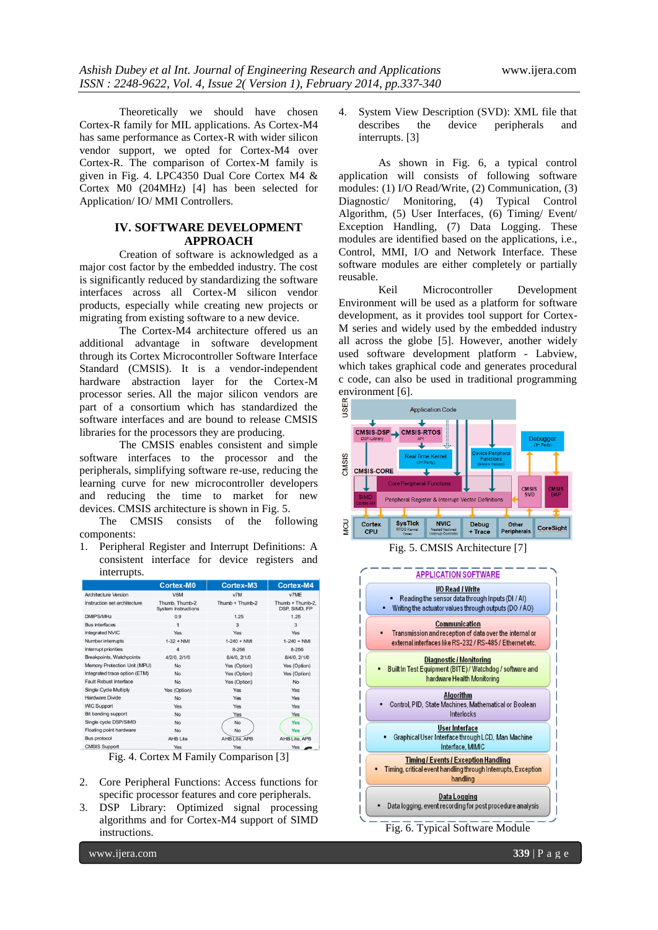Theoretically we should have chosen Cortex-R family for MIL applications. As Cortex-M4 has same performance as Cortex-R with wider silicon vendor support, we opted for Cortex-M4 over Cortex-R. The comparison of Cortex-M family is given in Fig. 4. LPC4350 Dual Core Cortex M4 & Cortex M0 (204MHz) [4] has been selected for Application/ IO/ MMI Controllers.

# **IV. SOFTWARE DEVELOPMENT APPROACH**

Creation of software is acknowledged as a major cost factor by the embedded industry. The cost is significantly reduced by standardizing the software interfaces across all Cortex-M silicon vendor products, especially while creating new projects or migrating from existing software to a new device.

The Cortex-M4 architecture offered us an additional advantage in software development through its Cortex Microcontroller Software Interface Standard (CMSIS). It is a vendor-independent hardware abstraction layer for the Cortex-M processor series. All the major silicon vendors are part of a consortium which has standardized the software interfaces and are bound to release CMSIS libraries for the processors they are producing.

The CMSIS enables consistent and simple software interfaces to the processor and the peripherals, simplifying software re-use, reducing the learning curve for new microcontroller developers and reducing the time to market for new devices. CMSIS architecture is shown in Fig. 5.

The CMSIS consists of the following components:

1. Peripheral Register and Interrupt Definitions: A consistent interface for device registers and interrupts.

|                               | Cortex-M0                                    | Cortex-M3       | Cortex-M4                         |
|-------------------------------|----------------------------------------------|-----------------|-----------------------------------|
| <b>Architecture Version</b>   | V6M                                          | v7M             | v7ME                              |
| Instruction set architecture  | Thumb, Thumb-2<br><b>System Instructions</b> | Thumb + Thumb-2 | Thumb + Thumb-2.<br>DSP, SIMD, FP |
| DMIPS/MHz                     | 0.9                                          | 1.25            | 1.25                              |
| <b>Bus interfaces</b>         | 1                                            | 3               | 3                                 |
| Integrated NVIC               | Yes                                          | Yes             | Yes                               |
| Number interrupts             | $1-32 + NMI$                                 | $1-240 + NM$    | $1-240 + NM$                      |
| Interrupt priorities          | $\overline{a}$                               | 8-256           | 8-256                             |
| Breakpoints, Watchpoints      | 4/2/0, 2/1/0                                 | 8/4/0, 2/1/0    | 8/4/0, 2/1/0                      |
| Memory Protection Unit (MPU)  | <b>No</b>                                    | Yes (Option)    | Yes (Option)                      |
| Integrated trace option (ETM) | <b>No</b>                                    | Yes (Option)    | Yes (Option)                      |
| Fault Robust Interface        | <b>No</b>                                    | Yes (Option)    | <b>No</b>                         |
| Single Cycle Multiply         | Yes (Option)                                 | Yes             | Yes                               |
| <b>Hardware Divide</b>        | <b>No</b>                                    | Yes             | Yes                               |
| <b>WIC Support</b>            | Yes                                          | Yes             | Yes                               |
| Bit banding support           | <b>No</b>                                    | Yes             | Yes                               |
| Single cycle DSP/SIMD         | <b>No</b>                                    | <b>No</b>       | <b>Yes</b>                        |
| Floating point hardware       | <b>No</b>                                    | <b>No</b>       | <b>Yes</b>                        |
| Bus protocol                  | AHB Lite                                     | AHB Lite, APB   | AHB Lite, APB                     |
| <b>CMSIS Support</b>          | Yes                                          | Yes             | $Yes$ $\blacksquare$              |

Fig. 4. Cortex M Family Comparison [3]

- 2. Core Peripheral Functions: Access functions for specific processor features and core peripherals.
- 3. DSP Library: Optimized signal processing algorithms and for Cortex-M4 support of SIMD instructions.

4. System View Description (SVD): XML file that describes the device peripherals and interrupts. [3]

As shown in Fig. 6, a typical control application will consists of following software modules: (1) I/O Read/Write, (2) Communication, (3) Diagnostic/ Monitoring, (4) Typical Control Algorithm, (5) User Interfaces, (6) Timing/ Event/ Exception Handling, (7) Data Logging. These modules are identified based on the applications, i.e., Control, MMI, I/O and Network Interface. These software modules are either completely or partially reusable.

Keil Microcontroller Development Environment will be used as a platform for software development, as it provides tool support for Cortex-M series and widely used by the embedded industry all across the globe [5]. However, another widely used software development platform - Labview, which takes graphical code and generates procedural c code, can also be used in traditional programming





Fig. 6. Typical Software Module